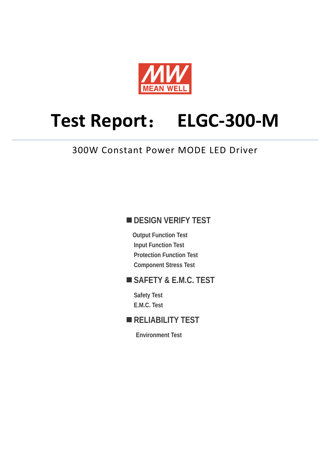

# **Test Report**: **ELGC-300-M**

## 300W Constant Power MODE LED Driver

## **DESIGN VERIFY TEST**

**Output Function Test Input Function Test Protection Function Test Component Stress Test** 

## **SAFETY & E.M.C. TEST**

**Safety Test E.M.C. Test** 

## **RELIABILITY TEST**

**Environment Test**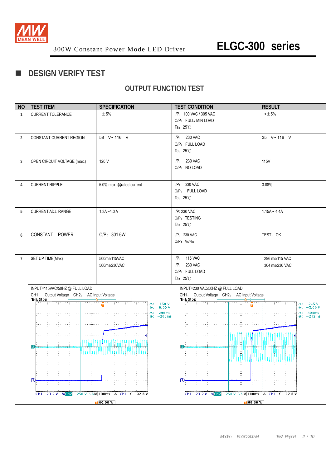

## **DESIGN VERIFY TEST**

## **OUTPUT FUNCTION TEST**

| <b>NO</b>      | <b>TEST ITEM</b>                                      | <b>SPECIFICATION</b>                              | <b>TEST CONDITION</b>                                           | <b>RESULT</b>                   |
|----------------|-------------------------------------------------------|---------------------------------------------------|-----------------------------------------------------------------|---------------------------------|
| $\mathbf{1}$   | CURRENT TOLERANCE                                     | $\pm$ 5%                                          | I/P: 100 VAC / 305 VAC                                          | $<\pm 5\%$                      |
|                |                                                       |                                                   | O/P: FULL/ MIN LOAD                                             |                                 |
|                |                                                       |                                                   | Ta: $25^{\circ}$ C                                              |                                 |
| $\overline{2}$ | CONSTANT CURRENT REGION                               | 58 V~116 V                                        | I/P: 230 VAC                                                    | 35 V~116 V                      |
|                |                                                       |                                                   | O/P: FULL LOAD                                                  |                                 |
|                |                                                       |                                                   | Ta: $25^{\circ}$ C                                              |                                 |
| 3              | OPEN CIRCUIT VOLTAGE (max.)                           | 120 V                                             | I/P: 230 VAC                                                    | <b>115V</b>                     |
|                |                                                       |                                                   | O/P: NO LOAD                                                    |                                 |
|                |                                                       |                                                   |                                                                 |                                 |
| 4              | <b>CURRENT RIPPLE</b>                                 | 5.0% max. @rated current                          | I/P: 230 VAC                                                    | 3.88%                           |
|                |                                                       |                                                   | O/P: FULL LOAD                                                  |                                 |
|                |                                                       |                                                   | Ta: $25^\circ\text{C}$                                          |                                 |
|                |                                                       |                                                   |                                                                 |                                 |
| 5              | CURRENT ADJ. RANGE                                    | $1.3A - 4.0A$                                     | I/P: 230 VAC                                                    | $1.15A - 4.4A$                  |
|                |                                                       |                                                   | O/P: TESTING                                                    |                                 |
|                |                                                       |                                                   | Ta: $25^{\circ}$ C                                              |                                 |
| 6              | CONSTANT POWER                                        | O/P: 301.6W                                       | I/P: 230 VAC                                                    | TEST: OK                        |
|                |                                                       |                                                   | O/P: Vo×lo                                                      |                                 |
|                |                                                       |                                                   |                                                                 |                                 |
| $\overline{7}$ | SET UP TIME(Max)                                      | 500ms/115VAC                                      | I/P: 115 VAC                                                    | 296 ms/115 VAC                  |
|                |                                                       | 500ms/230VAC                                      | I/P: 230 VAC                                                    | 304 ms/230 VAC                  |
|                |                                                       |                                                   | O/P: FULL LOAD<br>Ta: $25^{\circ}$ C                            |                                 |
|                |                                                       |                                                   |                                                                 |                                 |
|                | INPUT=115VAC/50HZ @ FULL LOAD                         |                                                   | INPUT=230 VAC/50HZ @ FULL LOAD                                  |                                 |
|                | CH1: Output Voltage CH2: AC Input Voltage<br>Tek Stop |                                                   | CH1: Output Voltage CH2: AC Input Voltage<br>Tek Stop           |                                 |
|                |                                                       | $150 V$<br>$0.00 V$<br>Δ:<br>û<br>@;              |                                                                 | $-245$ V<br>-5.00 V<br>Δ:<br>@: |
|                |                                                       | 296ms<br>Δ:<br>$@: -206ms$                        |                                                                 | 304ms<br>Δ:<br>$@: -212ms$      |
|                |                                                       |                                                   |                                                                 |                                 |
|                |                                                       |                                                   |                                                                 |                                 |
|                |                                                       |                                                   |                                                                 |                                 |
|                | 2                                                     |                                                   |                                                                 |                                 |
|                |                                                       | ,,,,,,,,,,,,,,,,,,,,,,,,,,,,,,                    |                                                                 |                                 |
|                |                                                       |                                                   |                                                                 |                                 |
|                |                                                       |                                                   |                                                                 |                                 |
|                |                                                       |                                                   |                                                                 |                                 |
|                | 冝                                                     |                                                   | $\ket{1}$                                                       |                                 |
|                |                                                       |                                                   |                                                                 |                                 |
|                | $Ch1$ 23.2 V NGh <sub>2</sub>                         | $250 \text{ V}$ $\sqrt{N}$ 100ms A Ch1 $J$ 92.8 V | Ch1 23.2 V $\sqrt{Ch2}$ 250 V $\sqrt{M}$ 100ms A Ch1 $f$ 92.8 V |                                 |
|                |                                                       | $\sqrt{60.00\%}$                                  | $\sqrt{0.00\%}$                                                 |                                 |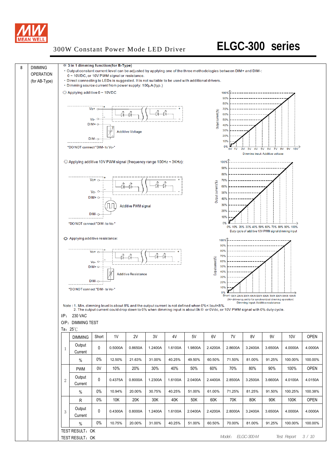

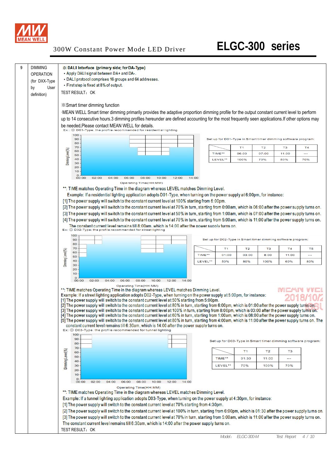

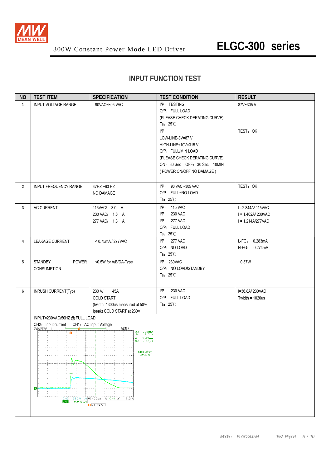

## **INPUT FUNCTION TEST**

| <b>NO</b>      | <b>TEST ITEM</b>                                                                              | <b>SPECIFICATION</b>                                                                                                                                                                                                                                  | <b>TEST CONDITION</b>                                                                                                                                                | <b>RESULT</b>                                                    |
|----------------|-----------------------------------------------------------------------------------------------|-------------------------------------------------------------------------------------------------------------------------------------------------------------------------------------------------------------------------------------------------------|----------------------------------------------------------------------------------------------------------------------------------------------------------------------|------------------------------------------------------------------|
| $\mathbf{1}$   | <b>INPUT VOLTAGE RANGE</b><br>90VAC~305 VAC                                                   |                                                                                                                                                                                                                                                       | I/P: TESTING<br>O/P: FULL LOAD<br>(PLEASE CHECK DERATING CURVE)<br>Ta: $25^{\circ}$ C                                                                                | 87V~305V                                                         |
|                |                                                                                               |                                                                                                                                                                                                                                                       | $I/P$ :<br>LOW-LINE-3V=87 V<br>HIGH-LINE+10V=315V<br>O/P: FULL/MIN LOAD<br>(PLEASE CHECK DERATING CURVE)<br>ON: 30 Sec OFF: 30 Sec 10MIN<br>(POWER ON/OFF NO DAMAGE) | TEST: OK                                                         |
| $\overline{2}$ | INPUT FREQUENCY RANGE                                                                         | 47HZ ~63 HZ<br>NO DAMAGE                                                                                                                                                                                                                              | I/P: 90 VAC ~305 VAC<br>O/P: FULL~NO LOAD<br>Ta: $25^{\circ}$ C                                                                                                      | TEST: OK                                                         |
| 3              | AC CURRENT                                                                                    | 115VAC/ 3.0 A<br>230 VAC/ 1.6 A<br>277 VAC/ 1.3 A                                                                                                                                                                                                     | I/P: 115 VAC<br>I/P: 230 VAC<br>I/P: 277 VAC<br>O/P: FULL LOAD<br>Ta: $25^{\circ}$ C                                                                                 | I = 2.844A/ 115VAC<br>$I = 1.402A/230VAC$<br>$I = 1.214A/277VAC$ |
| 4              | LEAKAGE CURRENT                                                                               | < 0.75mA / 277VAC                                                                                                                                                                                                                                     | I/P: 277 VAC<br>O/P: NO LOAD<br>Ta: $25^{\circ}$ C                                                                                                                   | L-FG: 0.283mA<br>N-FG: 0.274mA                                   |
| 5              | POWER<br><b>STANDBY</b><br><b>CONSUMPTION</b>                                                 | <0.5W for A/B/DA-Type                                                                                                                                                                                                                                 | I/P: 230VAC<br>O/P: NO LOAD/STANDBY<br>Ta: $25^{\circ}$ C                                                                                                            | 0.37W                                                            |
| 6              | INRUSH CURRENT(Typ)                                                                           | 230 V/<br>45A<br><b>COLD START</b><br>(twidth=1300us measured at 50%<br>Ipeak) COLD START at 230V                                                                                                                                                     | I/P: 230 VAC<br>O/P: FULL LOAD<br>Ta: $25^{\circ}$ C                                                                                                                 | I=36.8A/230VAC<br>Twidth = $1020us$                              |
|                | INPUT=230VAC/50HZ @ FULL LOAD<br>CH2: Input current<br>Tek 预览<br>ø<br>Cha + 10.0 A $\Omega$ M | CH1: AC Input Voltage<br>触发?<br>$\Delta$ : 200mA<br>@: 18.2 A<br>$\begin{array}{ll} \Delta: & 1.02 \text{ms} \\ \textcircled{a}: & 8.00 \text{ms} \end{array}$<br>$\frac{\text{Ch4}}{\text{36.8 A}}$<br>Ch2 250 V \\M 400us A Ch4 J 15.2 A<br>134.40% |                                                                                                                                                                      |                                                                  |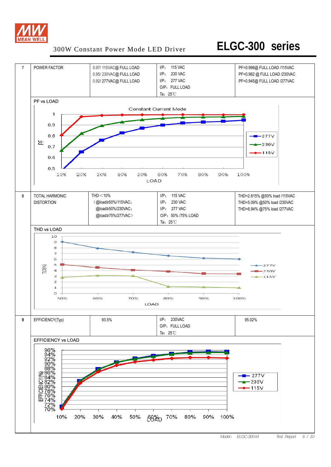

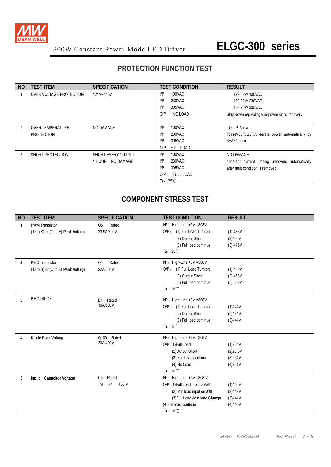

## **PROTECTION FUNCTION TEST**

| <b>NO</b> | <b>TEST ITEM</b>        | <b>SPECIFICATION</b> | <b>TEST CONDITION</b>                | <b>RESULT</b>                                        |
|-----------|-------------------------|----------------------|--------------------------------------|------------------------------------------------------|
|           | OVER VOLTAGE PROTECTION | 121V~145V            | 100VAC<br>$I/P$ :                    | 129.62V/ 100VAC                                      |
|           |                         |                      | 230VAC<br>$I/P$ :                    | 130.22V/230VAC                                       |
|           |                         |                      | 305VAC<br>I/P:                       | 130.26V/305VAC                                       |
|           |                         |                      | O/P <sub>z</sub><br>NO LOAD          | Shut down o/p voltage, re-power on to recovery       |
|           |                         |                      |                                      |                                                      |
| 2         | <b>OVER TEMPERATURE</b> | NO DAMAGE            | 100VAC<br>I/P:                       | O.T.P. Active                                        |
|           | <b>PROTECTION</b>       |                      | 230VAC<br>$I/P$ :                    | Tcase>85 $C \pm 5$ °C, derate power automatically by |
|           |                         |                      | 305VAC<br>$I/P$ :                    | $6\%$ C max                                          |
|           |                         |                      | O/P: FULL LOAD                       |                                                      |
| 3         | SHORT PROTECTION        | SHORT EVERY OUTPUT   | 100VAC<br>I/P:                       | NO DAMAGE                                            |
|           |                         | 1 HOUR NO DAMAGE     | I/P:<br>230VAC                       | constant current limiting recovers automatically     |
|           |                         |                      | 305VAC<br>$I/P$ :                    | after fault condition is removed                     |
|           |                         |                      | <b>FULL LOAD</b><br>O/P <sub>z</sub> |                                                      |
|           |                         |                      | Ta: $25^{\circ}$ C                   |                                                      |

## **COMPONENT STRESS TEST**

| <b>NO</b>      | <b>TEST ITEM</b>                  | <b>SPECIFICATION</b>     | <b>TEST CONDITION</b>          | <b>RESULT</b> |
|----------------|-----------------------------------|--------------------------|--------------------------------|---------------|
| $\mathbf{1}$   | <b>PWM Transistor</b>             | Rated<br>Q <sub>5</sub>  | $I/P$ : High-Line +3V =308V    |               |
|                | (D to S) or (C to E) Peak Voltage | 23.9A/600V               | O/P: (1) Full Load Turn on     | (1) 436V      |
|                |                                   |                          | (2) Output Short               | (2)436V       |
|                |                                   |                          | (3) Full load continue         | (3) 446V      |
|                |                                   |                          | Ta: $25^{\circ}$ C             |               |
| $\overline{2}$ | P.F.C Transistor                  | Q1<br>Rated              | I/P: High-Line +3V =308V       |               |
|                | (D to S) or (C to E) Peak Voltage | 22A/600V                 | O/P: (1) Full Load Turn on     | (1) 482V      |
|                |                                   |                          | (2) Output Short               | $(2)$ 458V    |
|                |                                   |                          | (3) Full load continue         | (3) 502V      |
|                |                                   |                          | Ta: $25^{\circ}$ C             |               |
| $\overline{3}$ | P.F.C DIODE                       | Rated<br>D <sub>1</sub>  | $I/P$ : High-Line +3V =308V    |               |
|                |                                   | 10A/600V                 | O/P: (1) Full Load Turn on     | (1)444V       |
|                |                                   |                          | (2) Output Short               | (2)434V       |
|                |                                   |                          | (3) Full load continue         | (3)444V       |
|                |                                   |                          | Ta: $25^{\circ}$ C             |               |
| 4              | Diode Peak Voltage                | Q100 Rated               | $I/P$ : High-Line +3V =308V    |               |
|                |                                   | 20A/400V                 | O/P: (1)Full Load              | (1)234V       |
|                |                                   |                          | (2) Output Short               | (2)28.8V      |
|                |                                   |                          | (3) Full Load continue         | (3)254V       |
|                |                                   |                          | (4) No Load                    | (4)251V       |
|                |                                   |                          | Ta: $25^\circ\text{C}$         |               |
| 5              | Input Capacitor Voltage           | Rated:<br>C <sub>5</sub> | I/P: High-Line +3V =308 V      |               |
|                |                                   | 450 V<br>$150 \mu/$      | O/P: (1)Full Load input on/off | (1)446V       |
|                |                                   |                          | (2) Min load input on /Off     | (2)442V       |
|                |                                   |                          | (3) Full Load /Min load Change | (3)444V       |
|                |                                   |                          | (4) Full load continue         | (4)446V       |
|                |                                   |                          | Ta: $25^{\circ}$ C             |               |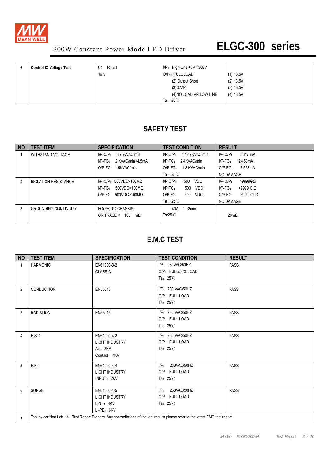

| <b>Control IC Voltage Test</b> | Rated<br>U1 | $I/P$ : High-Line +3V =308V |           |
|--------------------------------|-------------|-----------------------------|-----------|
|                                | 16 V        | O/P(1)FULL LOAD             | (1) 13.5V |
|                                |             | (2) Output Short            | (2) 13.5V |
|                                |             | (3)0.V.P.                   | (3) 13.5V |
|                                |             | (4) NO LOAD VR.LOW LINE     | (4) 13.5V |
|                                |             | Ta: $25^\circ\text{C}$      |           |

## **SAFETY TEST**

| N <sub>O</sub> | <b>TEST ITEM</b>            | <b>SPECIFICATION</b>             | <b>TEST CONDITION</b>            | <b>RESULT</b>             |
|----------------|-----------------------------|----------------------------------|----------------------------------|---------------------------|
|                | WITHSTAND VOLTAGE           | 3.75KVAC/min<br>$I/P-O/P$ :      | 4.125 KVAC/min<br>$I/P$ -O/P $:$ | $I/P-O/P$ :<br>2.317 mA   |
|                |                             | $I/P-FG$ :<br>2 KVAC/min<4.5mA   | $I/P-FG: 2.4KVAC/min$            | $I/P$ - $FG$ :<br>2.458mA |
|                |                             | O/P-FG: 1.5KVAC/min              | 1.8 KVAC/min<br>$O/P-FG$ :       | 2.528mA<br>$O/P-FG$ :     |
|                |                             |                                  | Ta: $25^{\circ}$ C               | NO DAMAGE                 |
| 2              | <b>ISOLATION RESISTANCE</b> | $I/P$ -O/P: 500VDC>100M $\Omega$ | 500<br>$I/P-O/P$ :<br><b>VDC</b> | $I/P-O/P$ :<br>$>9999$ GQ |
|                |                             | $I/P-FG$ :<br>500VDC>100MΩ       | $I/P-FG$ :<br>500<br>VDC         | $I/P-FG$ :<br>$>9999$ G Q |
|                |                             | $O/P-FG: 500VDC > 100MO$         | $O/P-FG$ :<br>500<br>VDC         | $>9999$ G Q<br>$O/P-FG$ : |
|                |                             |                                  | Ta: $25^{\circ}$ C               | NO DAMAGE                 |
| 3              | <b>GROUNDING CONTINUITY</b> | FG(PE) TO CHASSIS                | 2min<br>40A                      |                           |
|                |                             | OR TRACE < 100<br>$m\Omega$      | Ta:25 $\degree$ C                | $20m\Omega$               |
|                |                             |                                  |                                  |                           |

## **E.M.C TEST**

| <b>NO</b>      | <b>TEST ITEM</b>                                                                                                                | <b>SPECIFICATION</b>                                             | <b>TEST CONDITION</b>                                          | <b>RESULT</b> |  |  |  |
|----------------|---------------------------------------------------------------------------------------------------------------------------------|------------------------------------------------------------------|----------------------------------------------------------------|---------------|--|--|--|
| $\mathbf{1}$   | <b>HARMONIC</b>                                                                                                                 | EN61000-3-2<br><b>CLASS C</b>                                    | I/P: 230VAC/50HZ<br>O/P: FULL/50% LOAD<br>Ta: $25^\circ$ C     | <b>PASS</b>   |  |  |  |
| 2              | <b>CONDUCTION</b>                                                                                                               | EN55015                                                          | I/P: 230 VAC/50HZ<br>O/P: FULL LOAD<br>Ta: $25^{\circ}$ C      | <b>PASS</b>   |  |  |  |
| 3              | <b>RADIATION</b>                                                                                                                | EN55015                                                          | I/P: 230 VAC/50HZ<br>O/P: FULL LOAD<br>Ta: $25^\circ$ C        | <b>PASS</b>   |  |  |  |
| 4              | E.S.D                                                                                                                           | EN61000-4-2<br><b>LIGHT INDUSTRY</b><br>Air: 8KV<br>Contact: 4KV | I/P: 230 VAC/50HZ<br>O/P: FULL LOAD<br>Ta: $25^{\circ}$ C      | <b>PASS</b>   |  |  |  |
| 5              | E.F.T                                                                                                                           | EN61000-4-4<br><b>LIGHT INDUSTRY</b><br>INPUT: 2KV               | 230VAC/50HZ<br>IP:<br>O/P: FULL LOAD<br>Ta: $25^{\circ}$ C     | <b>PASS</b>   |  |  |  |
| 6              | <b>SURGE</b>                                                                                                                    | EN61000-4-5<br><b>LIGHT INDUSTRY</b><br>$L-N : 4KV$<br>L-PE: 6KV | 230VAC/50HZ<br>IP:<br>O/P: FULL LOAD<br>Ta: $25^\circ\text{C}$ | <b>PASS</b>   |  |  |  |
| $\overline{7}$ | Test by certified Lab & Test Report Prepare. Any contradictions of the test results please refer to the latest EMC test report. |                                                                  |                                                                |               |  |  |  |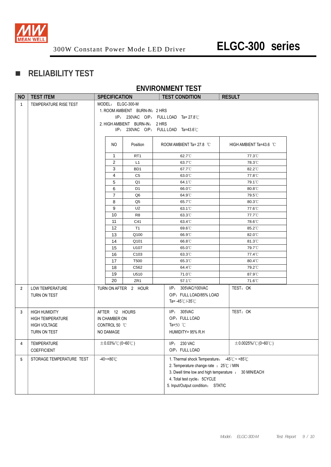

## **RELIABILITY TEST**

#### **ENVIRONMENT TEST**

| <b>NO</b>    | <b>TEST ITEM</b>                                                                       | <b>SPECIFICATION</b>                                          |                |                                                                                       | <b>TEST CONDITION</b>                                                                                                                                                                                              | <b>RESULT</b>             |
|--------------|----------------------------------------------------------------------------------------|---------------------------------------------------------------|----------------|---------------------------------------------------------------------------------------|--------------------------------------------------------------------------------------------------------------------------------------------------------------------------------------------------------------------|---------------------------|
| $\mathbf{1}$ | TEMPERATURE RISE TEST                                                                  |                                                               |                | MODEL: ELGC-300-M<br>1. ROOM AMBIENT BURN-IN: 2 HRS<br>2. HIGH AMBIENT BURN-IN: 2 HRS | $I/P$ : 230VAC O/P: FULL LOAD Ta= 27.8°C<br>$I/P$ : 230VAC O/P: FULL LOAD Ta=43.6°C                                                                                                                                |                           |
|              |                                                                                        |                                                               | NO.            | Position                                                                              | ROOM AMBIENT Ta= 27.8 °C                                                                                                                                                                                           | HIGH AMBIENT Ta=43.6 °C   |
|              |                                                                                        |                                                               | $\mathbf{1}$   | RT <sub>1</sub>                                                                       | 62.7°C                                                                                                                                                                                                             | 77.3°C                    |
|              |                                                                                        |                                                               | 2              | L1                                                                                    | 63.7°C                                                                                                                                                                                                             | 78.3°C                    |
|              |                                                                                        |                                                               | 3              | B <sub>D</sub> 1                                                                      | 67.7°C                                                                                                                                                                                                             | 82.2°C                    |
|              |                                                                                        |                                                               | 4              | C <sub>5</sub>                                                                        | 63.0°C                                                                                                                                                                                                             | 77.8°C                    |
|              |                                                                                        |                                                               | 5              | Q1                                                                                    | 64.1 <sup>°</sup> C                                                                                                                                                                                                | 79.1°C                    |
|              |                                                                                        |                                                               | 6              | D1                                                                                    | 66.0°C                                                                                                                                                                                                             | 80.8°C                    |
|              |                                                                                        |                                                               | $\overline{7}$ | Q <sub>6</sub>                                                                        | 64.9°C                                                                                                                                                                                                             | 79.5°C                    |
|              |                                                                                        |                                                               | 8              | Q <sub>5</sub>                                                                        | 65.7°C                                                                                                                                                                                                             | 80.3°C                    |
|              |                                                                                        |                                                               | 9              | U <sub>2</sub>                                                                        | 63.1 <sup>°</sup> C                                                                                                                                                                                                | 77.6°C                    |
|              |                                                                                        |                                                               | 10             | R8                                                                                    | 63.3°C                                                                                                                                                                                                             | 77.7°C                    |
|              |                                                                                        |                                                               | 11             | C41                                                                                   | 63.4°C                                                                                                                                                                                                             | 78.6°C                    |
|              |                                                                                        |                                                               | 12             | T <sub>1</sub>                                                                        | 69.6°C                                                                                                                                                                                                             | 85.2°C                    |
|              |                                                                                        |                                                               | 13             | Q100                                                                                  | 66.9°C                                                                                                                                                                                                             | 82.0°C                    |
|              |                                                                                        |                                                               | 14             | Q101                                                                                  | 66.8°C                                                                                                                                                                                                             | 81.3°C                    |
|              |                                                                                        |                                                               | 15             | U107                                                                                  | 65.0°C                                                                                                                                                                                                             | 79.7°C                    |
|              |                                                                                        |                                                               | 16             | C <sub>103</sub>                                                                      | 63.3°C                                                                                                                                                                                                             | 77.4°C                    |
|              |                                                                                        |                                                               | 17             | T500                                                                                  | 65.3°C                                                                                                                                                                                                             | 80.4°C                    |
|              |                                                                                        |                                                               | 18             | C562                                                                                  | 64.4°C                                                                                                                                                                                                             | 79.2°C                    |
|              |                                                                                        |                                                               | 19             | U510                                                                                  | 71.0°C                                                                                                                                                                                                             | 87.9°C                    |
|              |                                                                                        |                                                               | 20             | ZR <sub>1</sub>                                                                       | 57.1 <sup>°</sup> C                                                                                                                                                                                                | 71.6°C                    |
| 2            | LOW TEMPERATURE<br>TURN ON TEST                                                        |                                                               |                | TURN ON AFTER 2 HOUR                                                                  | I/P: 305VAC/100VAC<br>O/P: FULL LOAD/85% LOAD<br>Ta= $-45^{\circ}$ C/ $-35^{\circ}$ C                                                                                                                              | TEST: OK                  |
| 3            | <b>HIGH HUMIDITY</b><br><b>HIGH TEMPERATURE</b><br><b>HIGH VOLTAGE</b><br>TURN ON TEST | AFTER 12 HOURS<br>IN CHAMBER ON<br>CONTROL 50 °C<br>NO DAMAGE |                |                                                                                       | I/P: 305VAC<br>O/P: FULL LOAD<br>Ta=50 $^{\circ}$ C<br>HUMIDITY= 95% R.H.                                                                                                                                          | TEST: OK                  |
| 4            | TEMPERATURE<br>COEFFICIENT                                                             | $\pm$ 0.03%/°C (0~60°C)                                       |                |                                                                                       | I/P: 230 VAC<br>O/P: FULL LOAD                                                                                                                                                                                     | $\pm$ 0.0025%/°C (0~60°C) |
| 5            | STORAGE TEMPERATURE TEST                                                               | $-40 - +80^{\circ}C$                                          |                |                                                                                       | 1. Thermal shock Temperature: -45°C ~ +85°C<br>2. Temperature change rate : 25°C / MIN<br>3. Dwell time low and high temperature : 30 MIN/EACH<br>4. Total test cycle: 5CYCLE<br>5. Input/Output condition: STATIC |                           |